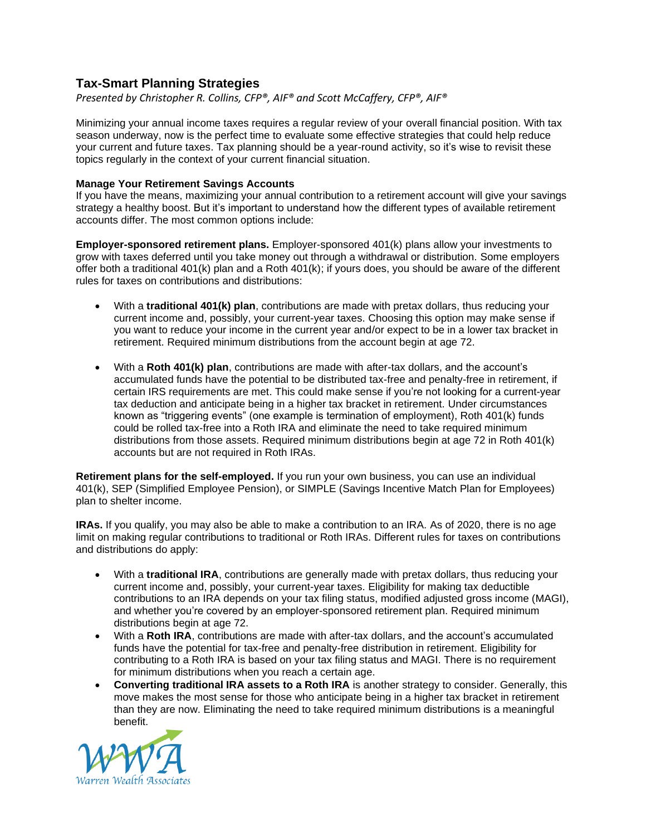# **Tax-Smart Planning Strategies**

*Presented by Christopher R. Collins, CFP®, AIF® and Scott McCaffery, CFP®, AIF®*

Minimizing your annual income taxes requires a regular review of your overall financial position. With tax season underway, now is the perfect time to evaluate some effective strategies that could help reduce your current and future taxes. Tax planning should be a year-round activity, so it's wise to revisit these topics regularly in the context of your current financial situation.

## **Manage Your Retirement Savings Accounts**

If you have the means, maximizing your annual contribution to a retirement account will give your savings strategy a healthy boost. But it's important to understand how the different types of available retirement accounts differ. The most common options include:

**Employer-sponsored retirement plans.** Employer-sponsored 401(k) plans allow your investments to grow with taxes deferred until you take money out through a withdrawal or distribution. Some employers offer both a traditional 401(k) plan and a Roth 401(k); if yours does, you should be aware of the different rules for taxes on contributions and distributions:

- With a **traditional 401(k) plan**, contributions are made with pretax dollars, thus reducing your current income and, possibly, your current-year taxes. Choosing this option may make sense if you want to reduce your income in the current year and/or expect to be in a lower tax bracket in retirement. Required minimum distributions from the account begin at age 72.
- With a **Roth 401(k) plan**, contributions are made with after-tax dollars, and the account's accumulated funds have the potential to be distributed tax-free and penalty-free in retirement, if certain IRS requirements are met. This could make sense if you're not looking for a current-year tax deduction and anticipate being in a higher tax bracket in retirement. Under circumstances known as "triggering events" (one example is termination of employment), Roth 401(k) funds could be rolled tax-free into a Roth IRA and eliminate the need to take required minimum distributions from those assets. Required minimum distributions begin at age 72 in Roth 401(k) accounts but are not required in Roth IRAs.

**Retirement plans for the self-employed.** If you run your own business, you can use an individual 401(k), SEP (Simplified Employee Pension), or SIMPLE (Savings Incentive Match Plan for Employees) plan to shelter income.

**IRAs.** If you qualify, you may also be able to make a contribution to an IRA. As of 2020, there is no age limit on making regular contributions to traditional or Roth IRAs. Different rules for taxes on contributions and distributions do apply:

- With a **traditional IRA**, contributions are generally made with pretax dollars, thus reducing your current income and, possibly, your current-year taxes. Eligibility for making tax deductible contributions to an IRA depends on your tax filing status, modified adjusted gross income (MAGI), and whether you're covered by an employer-sponsored retirement plan. Required minimum distributions begin at age 72.
- With a **Roth IRA**, contributions are made with after-tax dollars, and the account's accumulated funds have the potential for tax-free and penalty-free distribution in retirement. Eligibility for contributing to a Roth IRA is based on your tax filing status and MAGI. There is no requirement for minimum distributions when you reach a certain age.
- **Converting traditional IRA assets to a Roth IRA** is another strategy to consider. Generally, this move makes the most sense for those who anticipate being in a higher tax bracket in retirement than they are now. Eliminating the need to take required minimum distributions is a meaningful benefit.